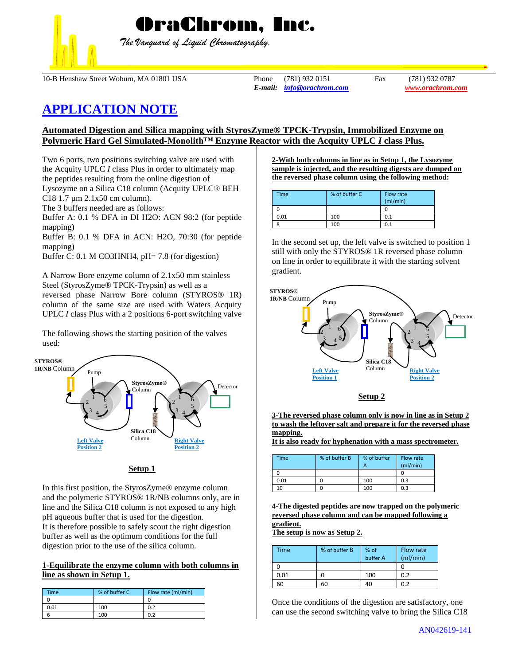

*The Vanguard of Liquid Chromatography.*

OraChrom, Inc.

10-B Henshaw Street Woburn, MA 01801 USA Phone (781) 932 0151 Fax (781) 932 0787

*E-mail: [info@orachrom.com](mailto:info@orachrom.com) www.orachrom.com*

# **APPLICATION NOTE**

# **Automated Digestion and Silica mapping with StyrosZyme® TPCK-Trypsin, Immobilized Enzyme on Polymeric Hard Gel Simulated-Monolith™ Enzyme Reactor with the Acquity UPLC** *I* **class Plus.**

Two 6 ports, two positions switching valve are used with the Acquity UPLC *I* class Plus in order to ultimately map the peptides resulting from the online digestion of Lysozyme on a Silica C18 column (Acquity UPLC® BEH C18 1.7 µm 2.1x50 cm column).

The 3 buffers needed are as follows:

Buffer A: 0.1 % DFA in DI H2O: ACN 98:2 (for peptide mapping)

Buffer B: 0.1 % DFA in ACN: H2O, 70:30 (for peptide mapping)

Buffer C: 0.1 M CO3HNH4, pH= 7.8 (for digestion)

A Narrow Bore enzyme column of 2.1x50 mm stainless Steel (StyrosZyme® TPCK-Trypsin) as well as a reversed phase Narrow Bore column (STYROS® 1R) column of the same size are used with Waters Acquity UPLC *I* class Plus with a 2 positions 6-port switching valve

The following shows the starting position of the valves used:



| н |  |
|---|--|
|   |  |

In this first position, the StyrosZyme® enzyme column and the polymeric STYROS® 1R/NB columns only, are in line and the Silica C18 column is not exposed to any high pH aqueous buffer that is used for the digestion. It is therefore possible to safely scout the right digestion buffer as well as the optimum conditions for the full digestion prior to the use of the silica column.

## **1-Equilibrate the enzyme column with both columns in line as shown in Setup 1.**

| Time | % of buffer C | Flow rate (ml/min) |
|------|---------------|--------------------|
|      |               |                    |
| 0.01 | 100           | 0.2                |
|      | 100           | 0.2                |

**2-With both columns in line as in Setup 1, the Lysozyme sample is injected, and the resulting digests are dumped on the reversed phase column using the following method:**

| <b>Time</b> | % of buffer C | Flow rate<br>(mI/min) |
|-------------|---------------|-----------------------|
|             |               |                       |
| 0.01        | 100           | 0.1                   |
|             | 100           | 0.1                   |

In the second set up, the left valve is switched to position 1 still with only the STYROS® 1R reversed phase column on line in order to equilibrate it with the starting solvent gradient.





**3-The reversed phase column only is now in line as in Setup 2 to wash the leftover salt and prepare it for the reversed phase mapping.** 

**It is also ready for hyphenation with a mass spectrometer.** 

| Time | % of buffer B | % of buffer | Flow rate<br>(mI/min) |
|------|---------------|-------------|-----------------------|
|      |               |             |                       |
| 0.01 |               | 100         | 0.3                   |
| 10   |               | 100         | 0.3                   |

**4-The digested peptides are now trapped on the polymeric reversed phase column and can be mapped following a gradient.**

**The setup is now as Setup 2.**

| Time | % of buffer B | % of     | Flow rate |
|------|---------------|----------|-----------|
|      |               | buffer A | (mI/min)  |
|      |               |          |           |
| 0.01 |               | 100      | 0.2       |
| 60   | 60            | 40       | 0.2       |

Once the conditions of the digestion are satisfactory, one can use the second switching valve to bring the Silica C18